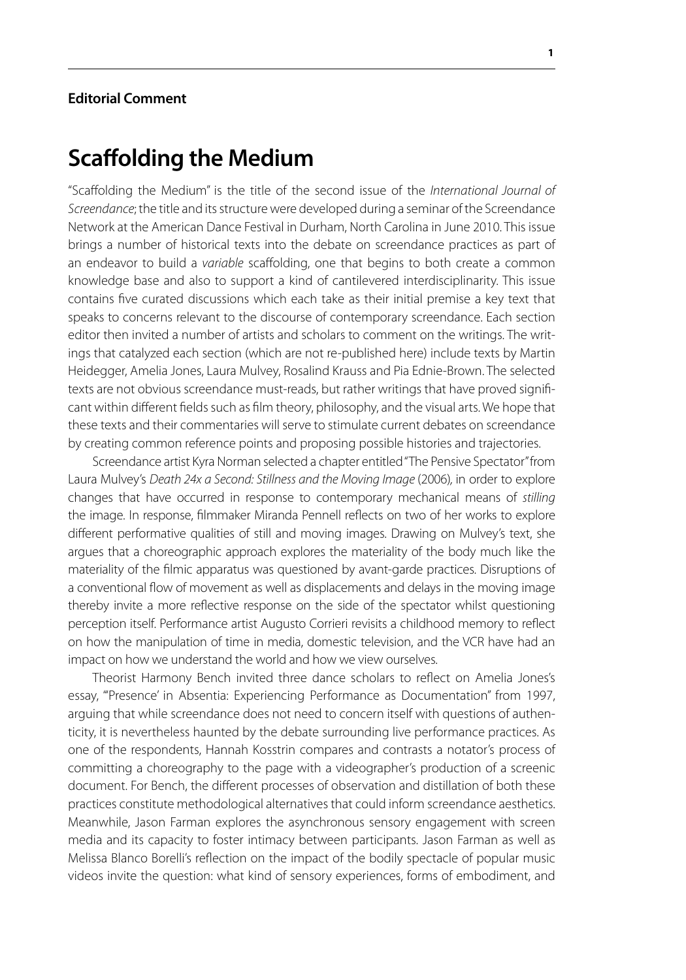## **Editorial Comment**

## **Scaffolding the Medium**

"Scaffolding the Medium" is the title of the second issue of the *International Journal of Screendance*; the title and its structure were developed during a seminar of the Screendance Network at the American Dance Festival in Durham, North Carolina in June 2010. This issue brings a number of historical texts into the debate on screendance practices as part of an endeavor to build a *variable* scaffolding, one that begins to both create a common knowledge base and also to support a kind of cantilevered interdisciplinarity. This issue contains five curated discussions which each take as their initial premise a key text that speaks to concerns relevant to the discourse of contemporary screendance. Each section editor then invited a number of artists and scholars to comment on the writings. The writings that catalyzed each section (which are not re-published here) include texts by Martin Heidegger, Amelia Jones, Laura Mulvey, Rosalind Krauss and Pia Ednie-Brown. The selected texts are not obvious screendance must-reads, but rather writings that have proved significant within different fields such as film theory, philosophy, and the visual arts. We hope that these texts and their commentaries will serve to stimulate current debates on screendance by creating common reference points and proposing possible histories and trajectories.

Screendance artist Kyra Norman selected a chapter entitled "The Pensive Spectator" from Laura Mulvey's *Death 24x a Second: Stillness and the Moving Image* (2006)*,* in order to explore changes that have occurred in response to contemporary mechanical means of *stilling* the image. In response, filmmaker Miranda Pennell reflects on two of her works to explore different performative qualities of still and moving images. Drawing on Mulvey's text, she argues that a choreographic approach explores the materiality of the body much like the materiality of the filmic apparatus was questioned by avant-garde practices. Disruptions of a conventional flow of movement as well as displacements and delays in the moving image thereby invite a more reflective response on the side of the spectator whilst questioning perception itself. Performance artist Augusto Corrieri revisits a childhood memory to reflect on how the manipulation of time in media, domestic television, and the VCR have had an impact on how we understand the world and how we view ourselves.

Theorist Harmony Bench invited three dance scholars to reflect on Amelia Jones's essay, "'Presence' in Absentia: Experiencing Performance as Documentation" from 1997, arguing that while screendance does not need to concern itself with questions of authenticity, it is nevertheless haunted by the debate surrounding live performance practices. As one of the respondents, Hannah Kosstrin compares and contrasts a notator's process of committing a choreography to the page with a videographer's production of a screenic document. For Bench, the different processes of observation and distillation of both these practices constitute methodological alternatives that could inform screendance aesthetics. Meanwhile, Jason Farman explores the asynchronous sensory engagement with screen media and its capacity to foster intimacy between participants. Jason Farman as well as Melissa Blanco Borelli's reflection on the impact of the bodily spectacle of popular music videos invite the question: what kind of sensory experiences, forms of embodiment, and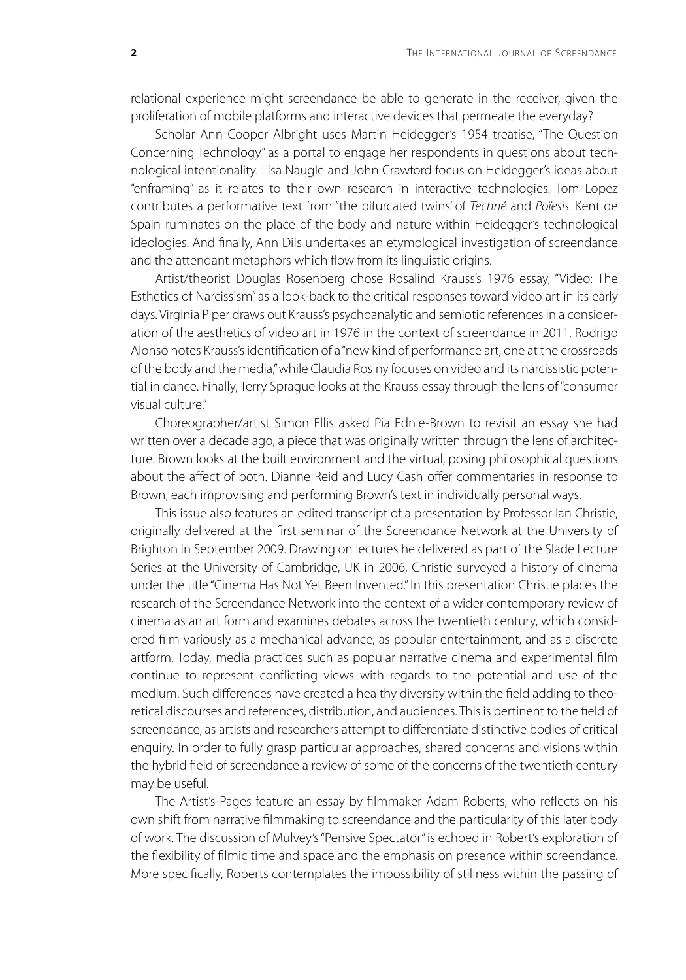relational experience might screendance be able to generate in the receiver, given the proliferation of mobile platforms and interactive devices that permeate the everyday?

Scholar Ann Cooper Albright uses Martin Heidegger's 1954 treatise, "The Question Concerning Technology" as a portal to engage her respondents in questions about technological intentionality. Lisa Naugle and John Crawford focus on Heidegger's ideas about "enframing" as it relates to their own research in interactive technologies. Tom Lopez contributes a performative text from "the bifurcated twins' of *Techné* and *Poïesis.* Kent de Spain ruminates on the place of the body and nature within Heidegger's technological ideologies. And finally, Ann Dils undertakes an etymological investigation of screendance and the attendant metaphors which flow from its linguistic origins.

Artist/theorist Douglas Rosenberg chose Rosalind Krauss's 1976 essay, "Video: The Esthetics of Narcissism" as a look-back to the critical responses toward video art in its early days. Virginia Piper draws out Krauss's psychoanalytic and semiotic references in a consideration of the aesthetics of video art in 1976 in the context of screendance in 2011. Rodrigo Alonso notes Krauss's identification of a "new kind of performance art, one at the crossroads of the body and the media," while Claudia Rosiny focuses on video and its narcissistic potential in dance. Finally, Terry Sprague looks at the Krauss essay through the lens of "consumer visual culture."

Choreographer/artist Simon Ellis asked Pia Ednie-Brown to revisit an essay she had written over a decade ago, a piece that was originally written through the lens of architecture. Brown looks at the built environment and the virtual, posing philosophical questions about the affect of both. Dianne Reid and Lucy Cash offer commentaries in response to Brown, each improvising and performing Brown's text in individually personal ways.

This issue also features an edited transcript of a presentation by Professor Ian Christie, originally delivered at the first seminar of the Screendance Network at the University of Brighton in September 2009. Drawing on lectures he delivered as part of the Slade Lecture Series at the University of Cambridge, UK in 2006, Christie surveyed a history of cinema under the title "Cinema Has Not Yet Been Invented." In this presentation Christie places the research of the Screendance Network into the context of a wider contemporary review of cinema as an art form and examines debates across the twentieth century, which considered film variously as a mechanical advance, as popular entertainment, and as a discrete artform. Today, media practices such as popular narrative cinema and experimental film continue to represent conflicting views with regards to the potential and use of the medium. Such differences have created a healthy diversity within the field adding to theoretical discourses and references, distribution, and audiences. This is pertinent to the field of screendance, as artists and researchers attempt to differentiate distinctive bodies of critical enquiry. In order to fully grasp particular approaches, shared concerns and visions within the hybrid field of screendance a review of some of the concerns of the twentieth century may be useful.

The Artist's Pages feature an essay by filmmaker Adam Roberts, who reflects on his own shift from narrative filmmaking to screendance and the particularity of this later body of work. The discussion of Mulvey's "Pensive Spectator" is echoed in Robert's exploration of the flexibility of filmic time and space and the emphasis on presence within screendance. More specifically, Roberts contemplates the impossibility of stillness within the passing of